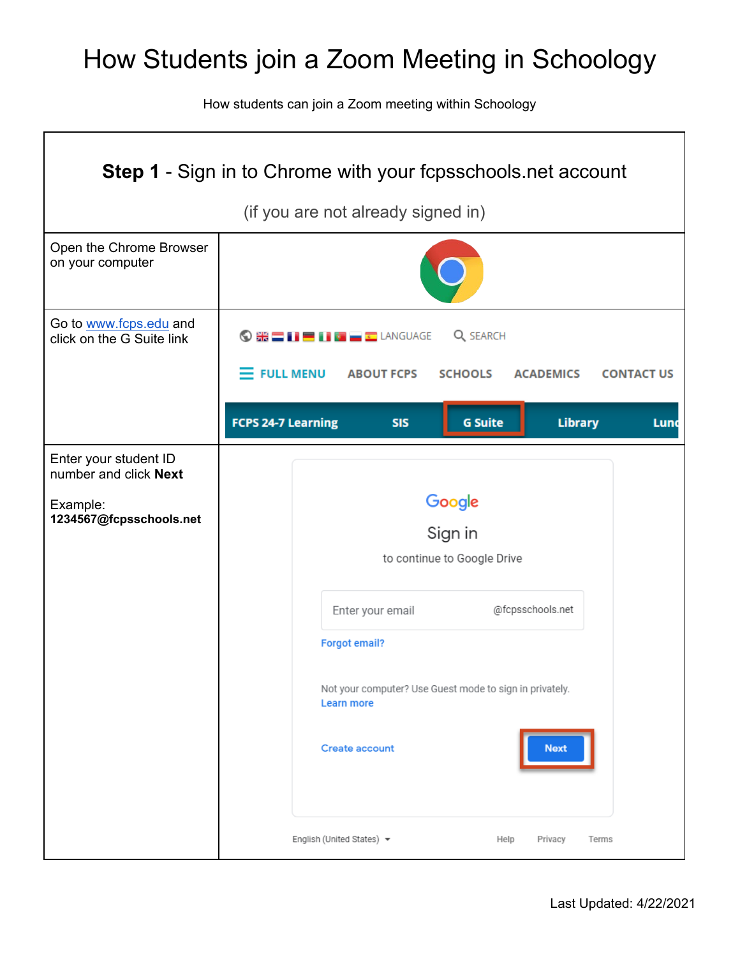## How Students join a Zoom Meeting in Schoology

How students can join a Zoom meeting within Schoology

| <b>Step 1</b> - Sign in to Chrome with your fcpsschools net account |                                                                                                    |  |  |  |
|---------------------------------------------------------------------|----------------------------------------------------------------------------------------------------|--|--|--|
| (if you are not already signed in)                                  |                                                                                                    |  |  |  |
| Open the Chrome Browser<br>on your computer                         |                                                                                                    |  |  |  |
| Go to www.fcps.edu and<br>click on the G Suite link                 | Q SEARCH<br>$\odot$ # $\blacksquare$ ii $\blacksquare$ ii $\blacksquare$ $\blacksquare$ language   |  |  |  |
|                                                                     | $\equiv$ FULL MENU<br><b>ABOUT FCPS</b><br><b>SCHOOLS</b><br><b>CONTACT US</b><br><b>ACADEMICS</b> |  |  |  |
|                                                                     | <b>FCPS 24-7 Learning</b><br><b>Library</b><br><b>SIS</b><br><b>G</b> Suite<br>Lunc                |  |  |  |
| Enter your student ID<br>number and click Next                      |                                                                                                    |  |  |  |
| Example:<br>1234567@fcpsschools.net                                 | Google<br>Sign in<br>to continue to Google Drive                                                   |  |  |  |
|                                                                     | @fcpsschools.net<br>Enter your email                                                               |  |  |  |
|                                                                     | <b>Forgot email?</b>                                                                               |  |  |  |
|                                                                     | Not your computer? Use Guest mode to sign in privately.<br><b>Learn more</b>                       |  |  |  |
|                                                                     | <b>Create account</b><br><b>Next</b>                                                               |  |  |  |
|                                                                     | English (United States) ▼<br>Help<br>Privacy<br>Terms                                              |  |  |  |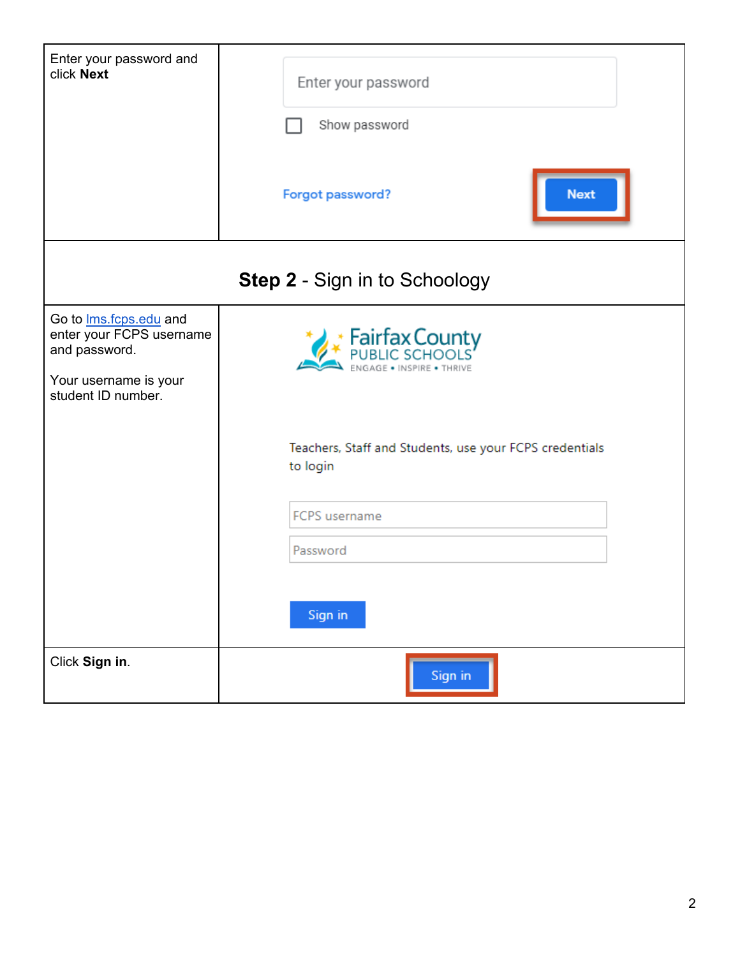| Enter your password and<br>click Next                                                                                      | Enter your password<br>Show password<br><b>Next</b><br>Forgot password? |  |
|----------------------------------------------------------------------------------------------------------------------------|-------------------------------------------------------------------------|--|
| <b>Step 2 - Sign in to Schoology</b>                                                                                       |                                                                         |  |
| Go to <b>Ims</b> .fcps.edu and<br>enter your FCPS username<br>and password.<br>Your username is your<br>student ID number. | <b>Fairfax County</b><br>PUBLIC SCHOOLS                                 |  |
|                                                                                                                            | Teachers, Staff and Students, use your FCPS credentials<br>to login     |  |
|                                                                                                                            | <b>FCPS</b> username<br>Password<br>Sign in                             |  |
| Click Sign in.                                                                                                             | Sign in                                                                 |  |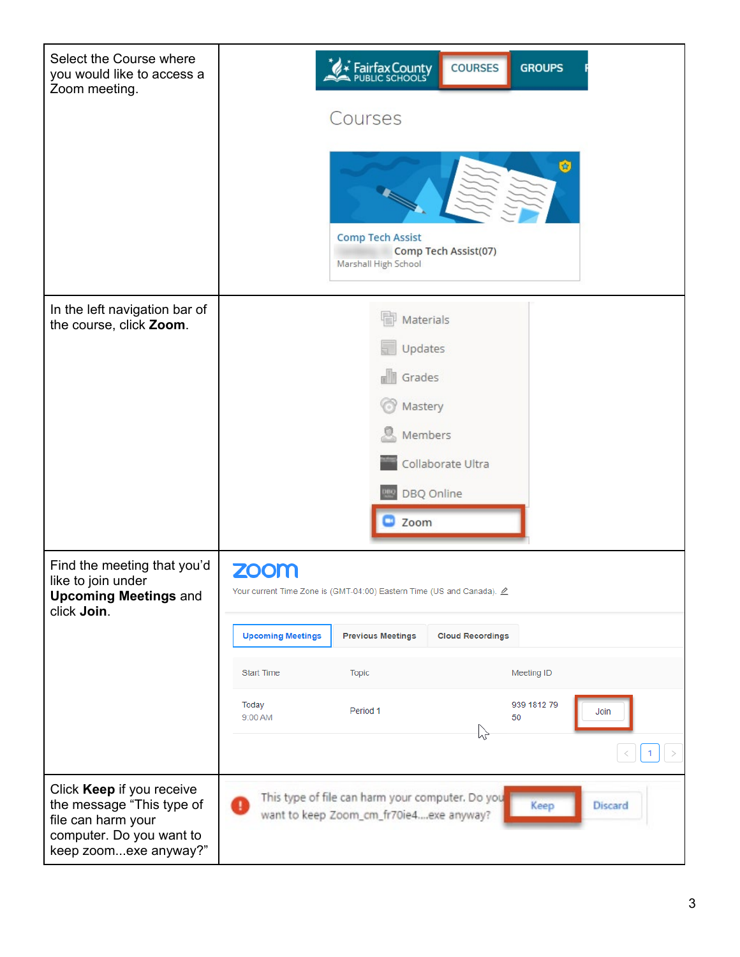| Select the Course where<br>you would like to access a<br>Zoom meeting.                                                            | Fairfax County<br><b>COURSES</b><br><b>GROUPS</b>                                                                     |
|-----------------------------------------------------------------------------------------------------------------------------------|-----------------------------------------------------------------------------------------------------------------------|
|                                                                                                                                   | Courses                                                                                                               |
|                                                                                                                                   | 歯<br><b>Comp Tech Assist</b><br>Comp Tech Assist(07)<br>Marshall High School                                          |
| In the left navigation bar of<br>the course, click Zoom.                                                                          | Materials                                                                                                             |
|                                                                                                                                   | Updates                                                                                                               |
|                                                                                                                                   | Grades<br>$\mathbb{R}^{\parallel \parallel}$                                                                          |
|                                                                                                                                   | Mastery                                                                                                               |
|                                                                                                                                   | Members                                                                                                               |
|                                                                                                                                   | Collaborate Ultra                                                                                                     |
|                                                                                                                                   | DBQ Online                                                                                                            |
|                                                                                                                                   | Zoom                                                                                                                  |
| Find the meeting that you'd<br>like to join under<br><b>Upcoming Meetings and</b><br>click Join.                                  | <b>ZOOM</b><br>Your current Time Zone is (GMT-04:00) Eastern Time (US and Canada). $\underline{\mathscr{O}}$          |
|                                                                                                                                   | <b>Upcoming Meetings</b><br><b>Previous Meetings</b><br><b>Cloud Recordings</b>                                       |
|                                                                                                                                   | <b>Start Time</b><br><b>Topic</b><br>Meeting ID                                                                       |
|                                                                                                                                   | 939 1812 79<br>Today<br>Period 1<br>Join<br>50<br>9:00 AM<br>hz                                                       |
|                                                                                                                                   |                                                                                                                       |
| Click Keep if you receive<br>the message "This type of<br>file can harm your<br>computer. Do you want to<br>keep zoomexe anyway?" | This type of file can harm your computer. Do you<br><b>Discard</b><br>Keep<br>want to keep Zoom_cm_fr70ie4exe anyway? |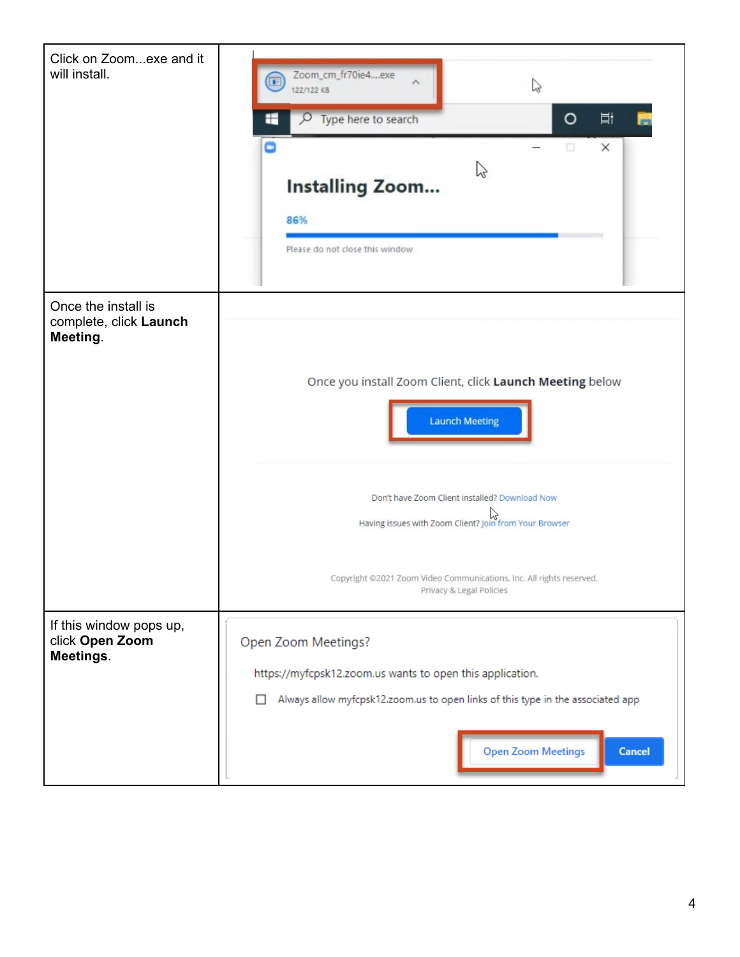| Click on Zoomexe and it<br>will install.                  | Zoom_cm_fr70ie4exe<br>Œ<br>Z<br>122/122 KB<br>$\circ$<br>Ħ<br>Type here to search<br>₽<br>÷<br>Θ<br>α<br>$\times$<br>V<br><b>Installing Zoom</b><br>86%<br>Please do not close this window                      |
|-----------------------------------------------------------|-----------------------------------------------------------------------------------------------------------------------------------------------------------------------------------------------------------------|
| Once the install is<br>complete, click Launch<br>Meeting. | Once you install Zoom Client, click Launch Meeting below<br><b>Launch Meeting</b>                                                                                                                               |
|                                                           | Don't have Zoom Client installed? Download Now<br>Having issues with Zoom Client? Join from Your Browser<br>Copyright ©2021 Zoom Video Communications, Inc. All rights reserved.<br>Privacy & Legal Policies    |
| If this window pops up,<br>click Open Zoom<br>Meetings.   | Open Zoom Meetings?<br>https://myfcpsk12.zoom.us wants to open this application.<br>Always allow myfcpsk12.zoom.us to open links of this type in the associated app<br>п<br><b>Open Zoom Meetings</b><br>Cancel |